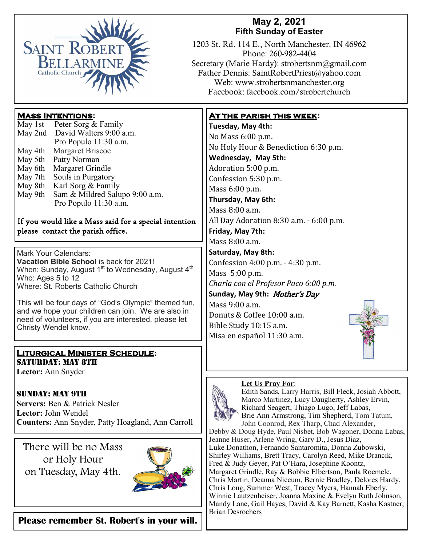

## **May 2, 2021 Fifth Sunday of Easter**

1203 St. Rd. 114 E., North Manchester, IN 46962 Phone: 260-982-4404 Secretary (Marie Hardy): strobertsnm@gmail.com Father Dennis: SaintRobertPriest@yahoo.com Web: www.strobertsnmanchester.org Facebook: facebook.com/strobertchurch

## **Mass Intentions:**

| May 1st | Peter Sorg & Family            |
|---------|--------------------------------|
| May 2nd | David Walters 9:00 a.m.        |
|         | Pro Populo 11:30 a.m.          |
| May 4th | Margaret Briscoe               |
| May 5th | Patty Norman                   |
| May 6th | Margaret Grindle               |
| May 7th | Souls in Purgatory             |
| May 8th | Karl Sorg & Family             |
| May 9th | Sam & Mildred Salupo 9:00 a.m. |
|         | Pro Populo 11:30 a.m.          |
|         |                                |

#### If you would like a Mass said for a special intention please contact the parish office.

Mark Your Calendars: **Vacation Bible School** is back for 2021! When: Sunday, August  $1<sup>st</sup>$  to Wednesday, August  $4<sup>th</sup>$ Who: Ages 5 to 12 Where: St. Roberts Catholic Church

This will be four days of "God's Olympic" themed fun, and we hope your children can join. We are also in need of volunteers, if you are interested, please let Christy Wendel know.

### **Liturgical Minister Schedule:** SATURDAY: MAY 8TH

**Lector:** Ann Snyder

Sunday: May 9th **Servers:** Ben & Patrick Nesler **Lector:** John Wendel **Counters:** Ann Snyder, Patty Hoagland, Ann Carroll

There will be no Mass or Holy Hour on Tuesday, May 4th.



**Please remember St. Robert's in your will.** 

## **At the parish this week:**

**Tuesday, May 4th:**  No Mass 6:00 p.m. No Holy Hour & Benediction 6:30 p.m. **Wednesday, May 5th:** Adoration 5:00 p.m. Confession 5:30 p.m. Mass 6:00 p.m. **Thursday, May 6th:** Mass 8:00 a.m. All Day Adoration 8:30 a.m. - 6:00 p.m. **Friday, May 7th:**  Mass 8:00 a.m. **Saturday, May 8th:**  Confession 4:00 p.m. - 4:30 p.m. Mass 5:00 p.m. *Charla con el Profesor Paco 6:00 p.m.* **Sunday, May 9th:** Mother's Day Mass 9:00 a.m. Donuts & Coffee 10:00 a.m. Bible Study 10:15 a.m. Misa en español 11:30 a.m.



#### **Let Us Pray For**:



Edith Sands, Larry Harris, Bill Fleck, Josiah Abbott, Marco Martinez, Lucy Daugherty, Ashley Ervin, Richard Seagert, Thiago Lugo, Jeff Labas, Brie Ann Armstrong, Tim Shepherd, Tom Tatum, John Coonrod, Rex Tharp, Chad Alexander, Debby & Doug Hyde, Paul Nisbet, Bob Wagoner, Donna Labas,

Jeanne Huser, Arlene Wring, Gary D., Jesus Diaz, Luke Donathon, Fernando Santaromita, Donna Zubowski, Shirley Williams, Brett Tracy, Carolyn Reed, Mike Drancik, Fred & Judy Geyer, Pat O'Hara, Josephine Koontz, Margaret Grindle, Ray & Bobbie Elbertson, Paula Roemele, Chris Martin, Deanna Niccum, Bernie Bradley, Delores Hardy, Chris Long, Summer West, Tracey Myers, Hannah Eberly, Winnie Lautzenheiser, Joanna Maxine & Evelyn Ruth Johnson, Mandy Lane, Gail Hayes, David & Kay Barnett, Kasha Kastner, Brian Desrochers